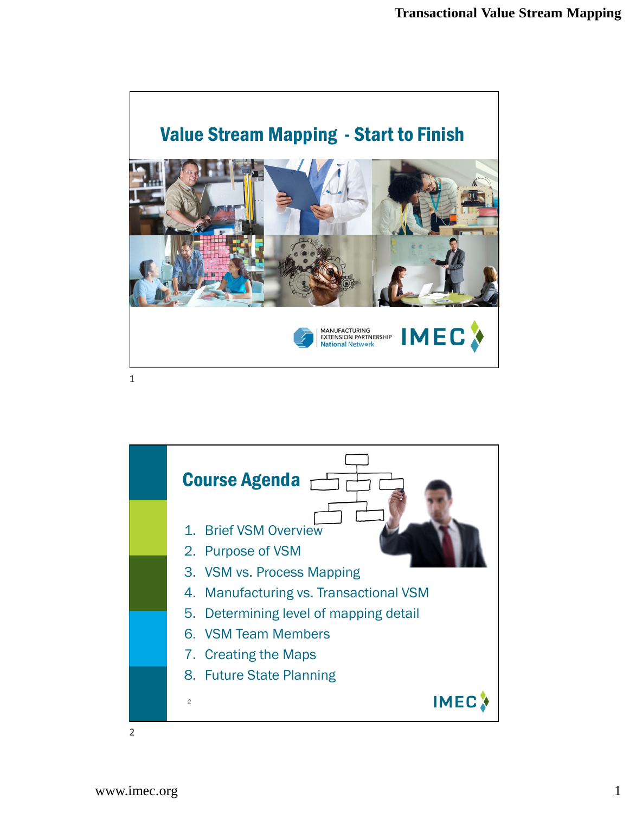

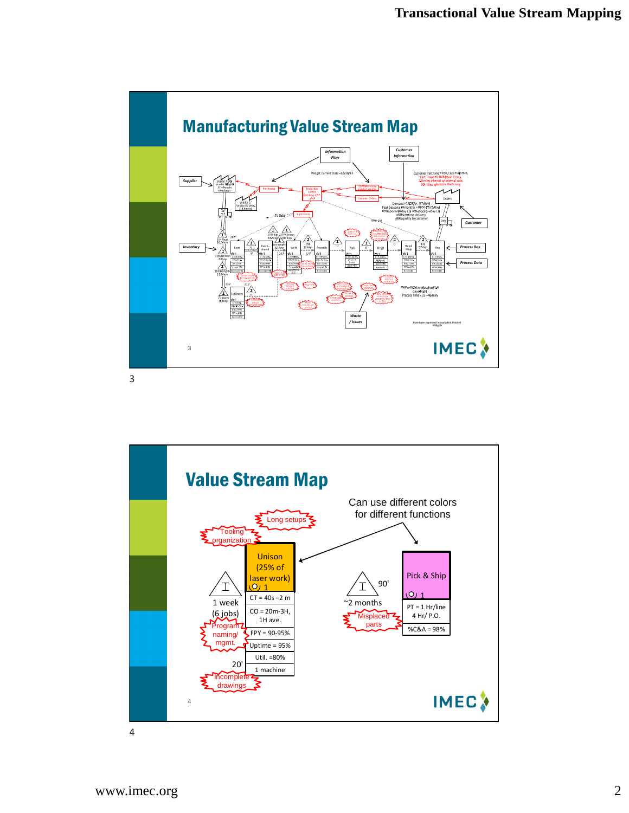

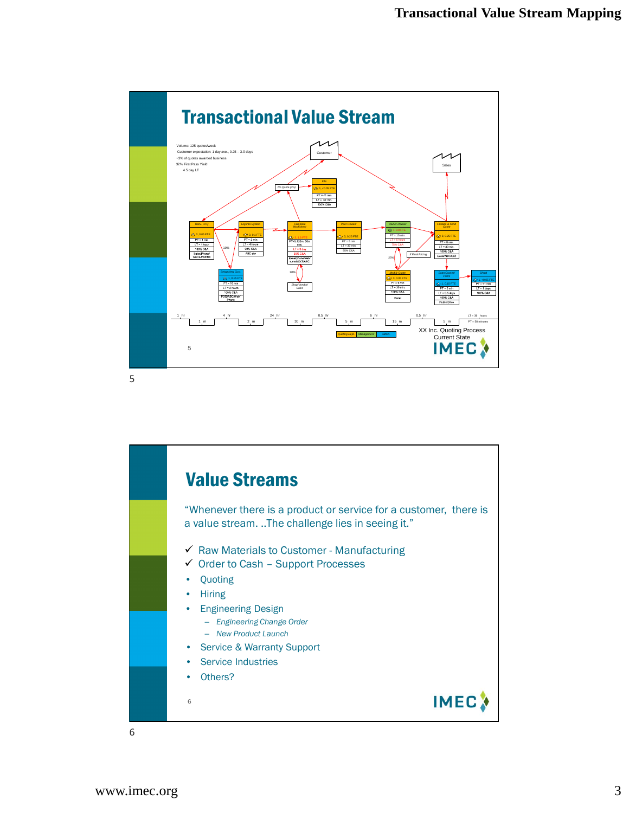

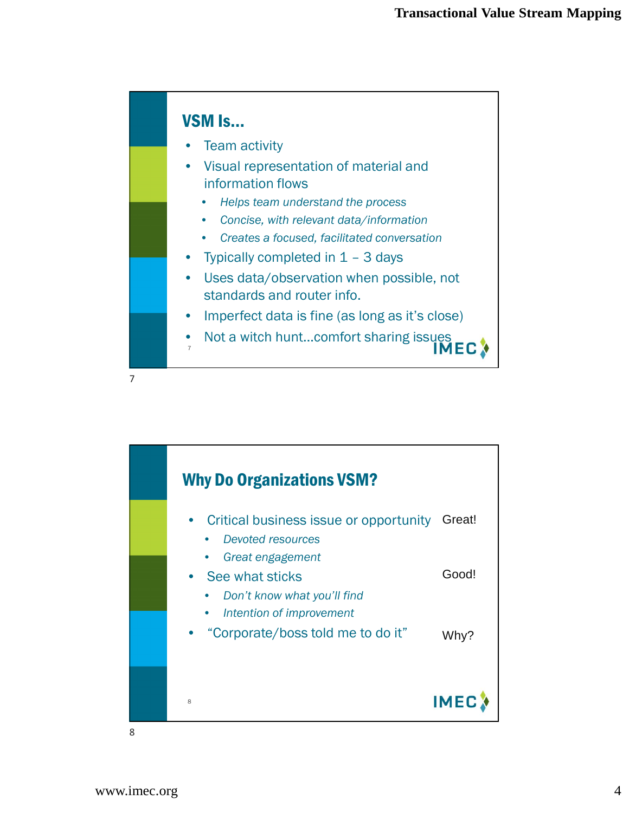

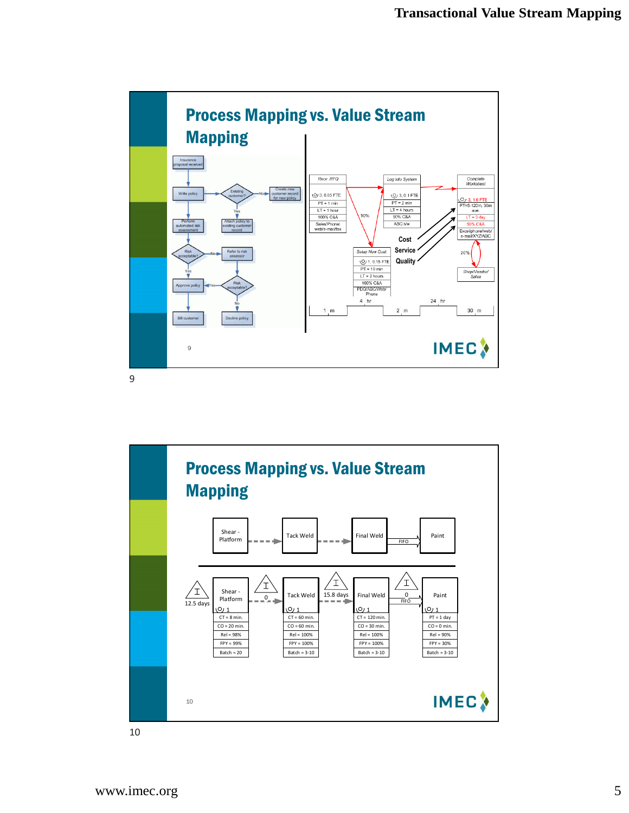

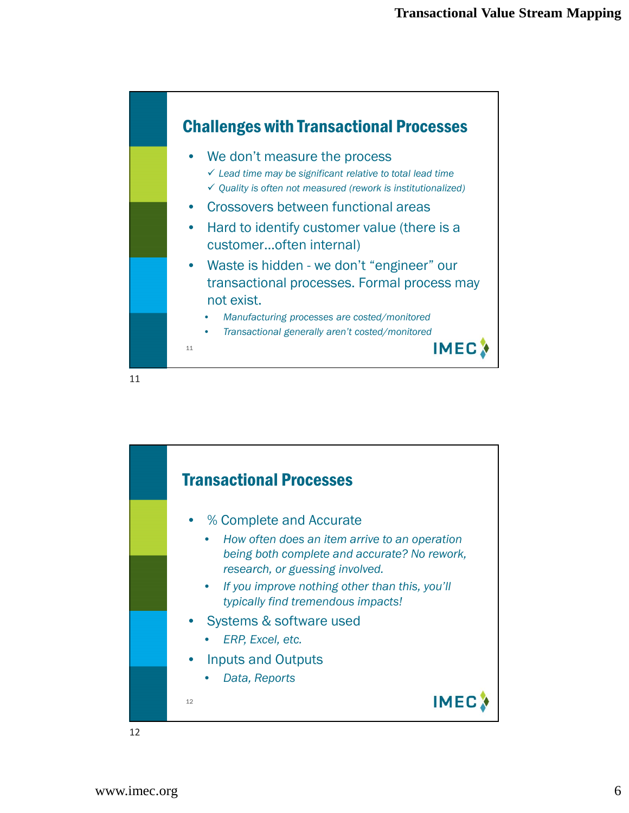

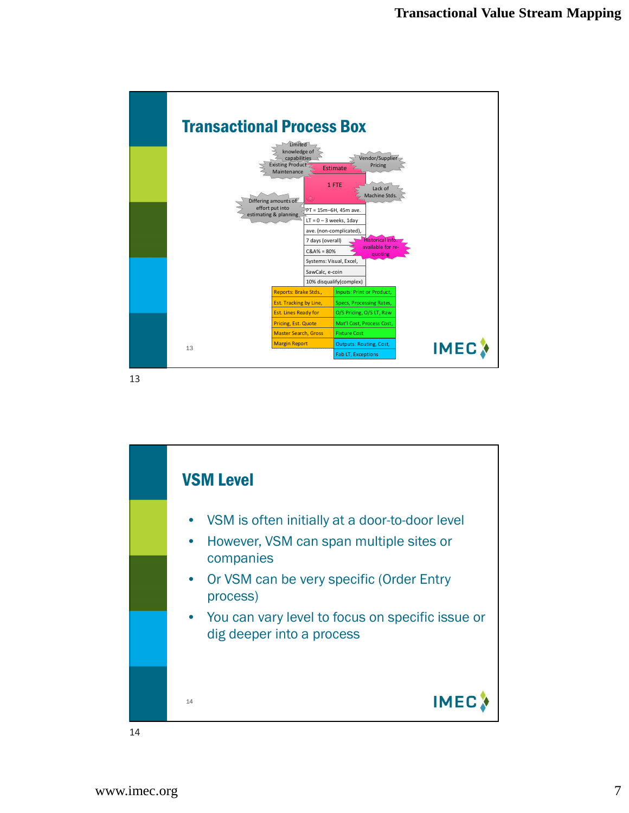![](_page_6_Figure_1.jpeg)

![](_page_6_Figure_3.jpeg)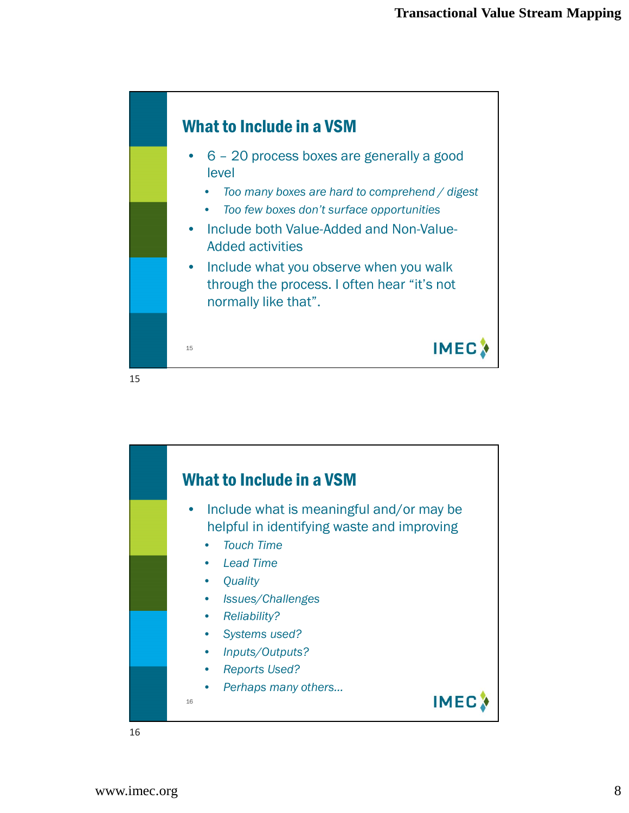![](_page_7_Figure_1.jpeg)

![](_page_7_Figure_3.jpeg)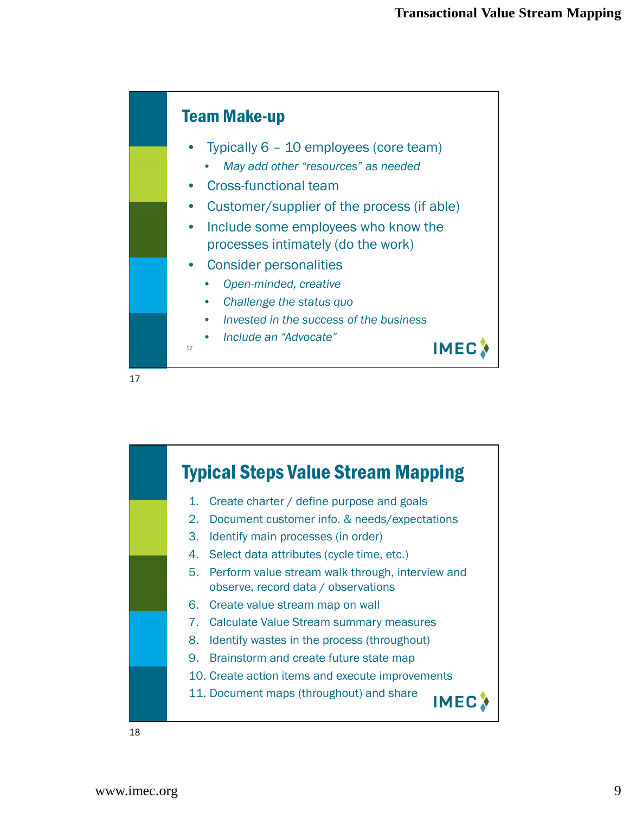![](_page_8_Figure_1.jpeg)

![](_page_8_Picture_3.jpeg)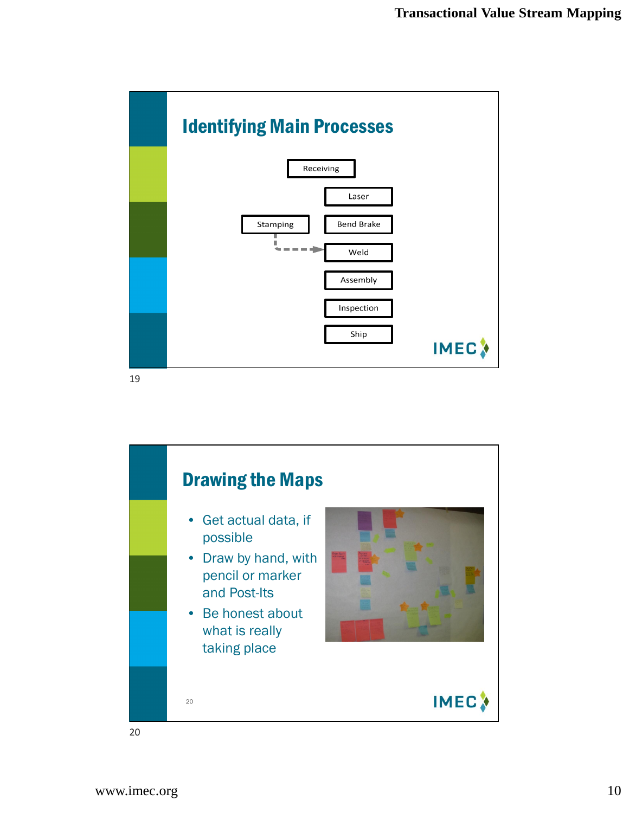![](_page_9_Figure_1.jpeg)

![](_page_9_Figure_3.jpeg)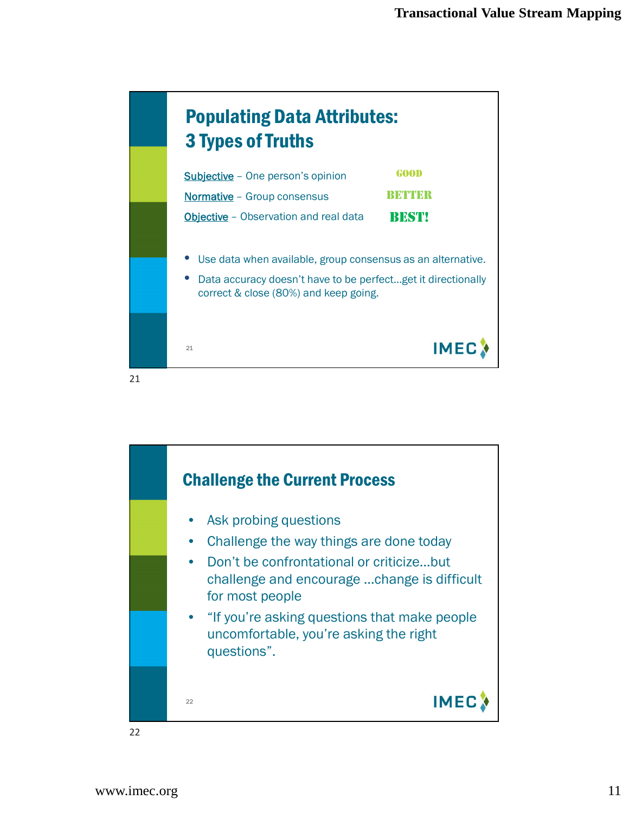![](_page_10_Figure_1.jpeg)

![](_page_10_Figure_3.jpeg)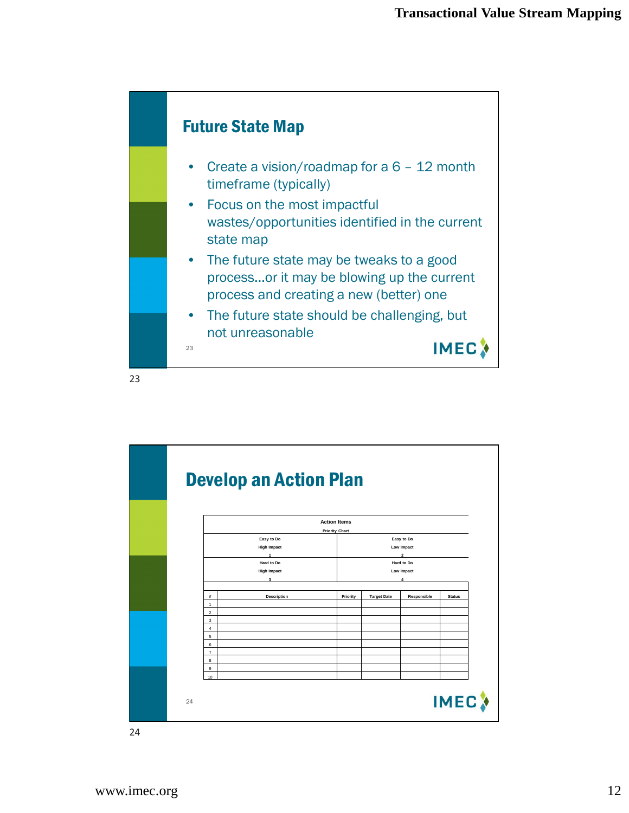![](_page_11_Figure_1.jpeg)

![](_page_11_Figure_3.jpeg)